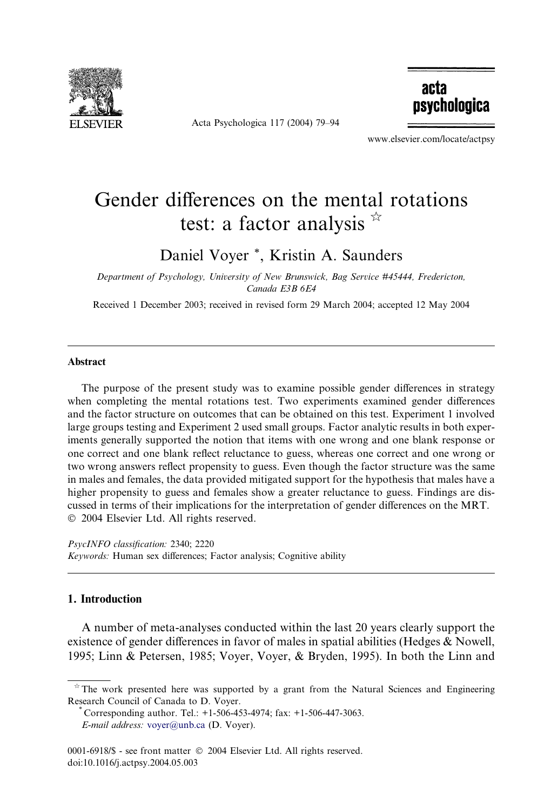

Acta Psychologica 117 (2004) 79–94

acta psychologica

www.elsevier.com/locate/actpsy

## Gender differences on the mental rotations test: a factor analysis  $\overline{r}$

Daniel Voyer \*, Kristin A. Saunders

Department of Psychology, University of New Brunswick, Bag Service #45444, Fredericton, Canada E3B 6E4

Received 1 December 2003; received in revised form 29 March 2004; accepted 12 May 2004

## Abstract

The purpose of the present study was to examine possible gender differences in strategy when completing the mental rotations test. Two experiments examined gender differences and the factor structure on outcomes that can be obtained on this test. Experiment 1 involved large groups testing and Experiment 2 used small groups. Factor analytic results in both experiments generally supported the notion that items with one wrong and one blank response or one correct and one blank reflect reluctance to guess, whereas one correct and one wrong or two wrong answers reflect propensity to guess. Even though the factor structure was the same in males and females, the data provided mitigated support for the hypothesis that males have a higher propensity to guess and females show a greater reluctance to guess. Findings are discussed in terms of their implications for the interpretation of gender differences on the MRT. 2004 Elsevier Ltd. All rights reserved.

PsycINFO classification: 2340; 2220 Keywords: Human sex differences; Factor analysis; Cognitive ability

## 1. Introduction

A number of meta-analyses conducted within the last 20 years clearly support the existence of gender differences in favor of males in spatial abilities (Hedges & Nowell, 1995; Linn & Petersen, 1985; Voyer, Voyer, & Bryden, 1995). In both the Linn and

 $\hat{\tau}$  The work presented here was supported by a grant from the Natural Sciences and Engineering Research Council of Canada to D. Voyer.<br>\* Corresponding author. Tel.: +1-506-453-4974; fax: +1-506-447-3063.

E-mail address: [voyer@unb.ca](mail to: voyer@unb.ca) (D. Voyer).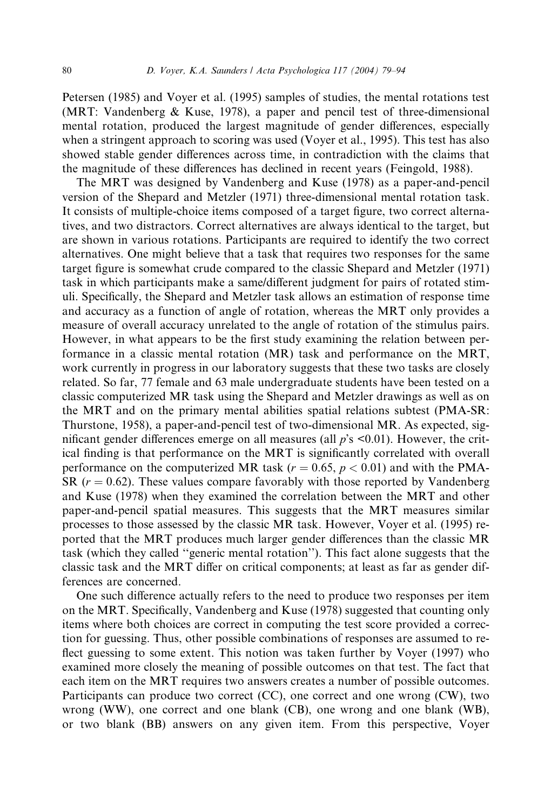Petersen (1985) and Voyer et al. (1995) samples of studies, the mental rotations test (MRT: Vandenberg & Kuse, 1978), a paper and pencil test of three-dimensional mental rotation, produced the largest magnitude of gender differences, especially when a stringent approach to scoring was used (Voyer et al., 1995). This test has also showed stable gender differences across time, in contradiction with the claims that the magnitude of these differences has declined in recent years (Feingold, 1988).

The MRT was designed by Vandenberg and Kuse (1978) as a paper-and-pencil version of the Shepard and Metzler (1971) three-dimensional mental rotation task. It consists of multiple-choice items composed of a target figure, two correct alternatives, and two distractors. Correct alternatives are always identical to the target, but are shown in various rotations. Participants are required to identify the two correct alternatives. One might believe that a task that requires two responses for the same target figure is somewhat crude compared to the classic Shepard and Metzler (1971) task in which participants make a same/different judgment for pairs of rotated stimuli. Specifically, the Shepard and Metzler task allows an estimation of response time and accuracy as a function of angle of rotation, whereas the MRT only provides a measure of overall accuracy unrelated to the angle of rotation of the stimulus pairs. However, in what appears to be the first study examining the relation between performance in a classic mental rotation (MR) task and performance on the MRT, work currently in progress in our laboratory suggests that these two tasks are closely related. So far, 77 female and 63 male undergraduate students have been tested on a classic computerized MR task using the Shepard and Metzler drawings as well as on the MRT and on the primary mental abilities spatial relations subtest (PMA-SR: Thurstone, 1958), a paper-and-pencil test of two-dimensional MR. As expected, significant gender differences emerge on all measures (all  $p$ 's <0.01). However, the critical finding is that performance on the MRT is significantly correlated with overall performance on the computerized MR task ( $r = 0.65$ ,  $p < 0.01$ ) and with the PMA-SR  $(r = 0.62)$ . These values compare favorably with those reported by Vandenberg and Kuse (1978) when they examined the correlation between the MRT and other paper-and-pencil spatial measures. This suggests that the MRT measures similar processes to those assessed by the classic MR task. However, Voyer et al. (1995) reported that the MRT produces much larger gender differences than the classic MR task (which they called ''generic mental rotation''). This fact alone suggests that the classic task and the MRT differ on critical components; at least as far as gender differences are concerned.

One such difference actually refers to the need to produce two responses per item on the MRT. Specifically, Vandenberg and Kuse (1978) suggested that counting only items where both choices are correct in computing the test score provided a correction for guessing. Thus, other possible combinations of responses are assumed to reflect guessing to some extent. This notion was taken further by Voyer (1997) who examined more closely the meaning of possible outcomes on that test. The fact that each item on the MRT requires two answers creates a number of possible outcomes. Participants can produce two correct (CC), one correct and one wrong (CW), two wrong (WW), one correct and one blank (CB), one wrong and one blank (WB), or two blank (BB) answers on any given item. From this perspective, Voyer